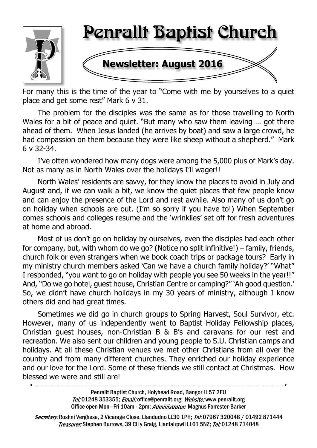

For many this is the time of the year to "Come with me by yourselves to a quiet place and get some rest" Mark 6 v 31.

The problem for the disciples was the same as for those travelling to North Wales for a bit of peace and quiet. "But many who saw them leaving … got there ahead of them. When Jesus landed (he arrives by boat) and saw a large crowd, he had compassion on them because they were like sheep without a shepherd." Mark 6 v 32-34.

I've often wondered how many dogs were among the 5,000 plus of Mark's day. Not as many as in North Wales over the holidays I'll wager!!

North Wales' residents are savvy, for they know the places to avoid in July and August and, if we can walk a bit, we know the quiet places that few people know and can enjoy the presence of the Lord and rest awhile. Also many of us don't go on holiday when schools are out. (I'm so sorry if you have to!) When September comes schools and colleges resume and the 'wrinklies' set off for fresh adventures at home and abroad.

Most of us don't go on holiday by ourselves, even the disciples had each other for company, but, with whom do we go? (Notice no split infinitive!) – family, friends, church folk or even strangers when we book coach trips or package tours? Early in my ministry church members asked 'Can we have a church family holiday?' "What" I responded, "you want to go on holiday with people you see 50 weeks in the year!!" And, "Do we go hotel, guest house, Christian Centre or camping?" 'Ah good question.' So, we didn't have church holidays in my 30 years of ministry, although I know others did and had great times.

Sometimes we did go in church groups to Spring Harvest, Soul Survivor, etc. However, many of us independently went to Baptist Holiday Fellowship places, Christian guest houses, non-Christian B & B's and caravans for our rest and recreation. We also sent our children and young people to S.U. Christian camps and holidays. At all these Christian venues we met other Christians from all over the country and from many different churches. They enriched our holiday experience and our love for the Lord. Some of these friends we still contact at Christmas. How blessed we were and still are!

Penrallt Baptist Church, Holyhead Road, Bangor LL57 2EU Tel:01248 353355; Email: office@penrallt.org; Website: www.penrallt.org Office open Mon-Fri 10am - 2pm; Administrator: Magnus Forrester-Barker

Secretary: Roshni Verghese, 2 Vicarage Close, Llandudno LL30 1PH; Tel: 07967 320048 / 01492 871444 Treasurer: Stephen Burrows, 39 Cil y Graig, Llanfairpwll LL61 5NZ; Tel: 01248 714048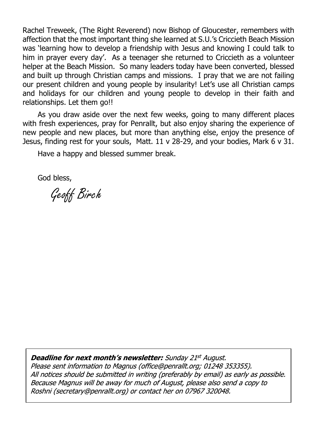Rachel Treweek, (The Right Reverend) now Bishop of Gloucester, remembers with affection that the most important thing she learned at S.U.'s Criccieth Beach Mission was 'learning how to develop a friendship with Jesus and knowing I could talk to him in prayer every day'. As a teenager she returned to Criccieth as a volunteer helper at the Beach Mission. So many leaders today have been converted, blessed and built up through Christian camps and missions. I pray that we are not failing our present children and young people by insularity! Let's use all Christian camps and holidays for our children and young people to develop in their faith and relationships. Let them go!!

As you draw aside over the next few weeks, going to many different places with fresh experiences, pray for Penrallt, but also enjoy sharing the experience of new people and new places, but more than anything else, enjoy the presence of Jesus, finding rest for your souls, Matt. 11 v 28-29, and your bodies, Mark 6 v 31.

Have a happy and blessed summer break.

God bless,

Geoff Birch

**Deadline for next month's newsletter:** Sunday 21st August. Please sent information to Magnus (office@penrallt.org; 01248 353355). All notices should be submitted in writing (preferably by email) as early as possible. Because Magnus will be away for much of August, please also send a copy to Roshni (secretary@penrallt.org) or contact her on 07967 320048.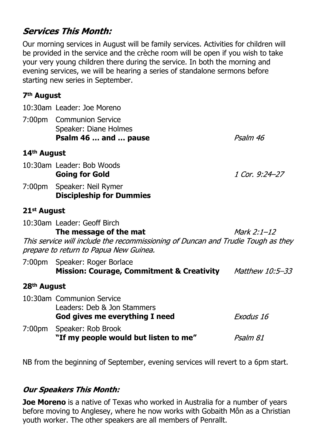## **Services This Month:**

Our morning services in August will be family services. Activities for children will be provided in the service and the crèche room will be open if you wish to take your very young children there during the service. In both the morning and evening services, we will be hearing a series of standalone sermons before starting new series in September.

#### **7th August**

10:30am Leader: Joe Moreno

7:00pm Communion Service Speaker: Diane Holmes **Psalm 46 … and … pause**

Psalm 46

#### **14th August**

10:30am Leader: Bob Woods **Going for Gold** 1 Cor. 9:24-27

7:00pm Speaker: Neil Rymer **Discipleship for Dummies**

#### **21st August**

10:30am Leader: Geoff Birch **The message of the mat** Mark  $2:1-12$ This service will include the recommissioning of Duncan and Trudie Tough as they prepare to return to Papua New Guinea.

| 7:00pm Speaker: Roger Borlace                        |                        |
|------------------------------------------------------|------------------------|
| <b>Mission: Courage, Commitment &amp; Creativity</b> | <i>Matthew 10:5–33</i> |
|                                                      |                        |

## **28th August**

| 10:30am Communion Service             |           |  |  |
|---------------------------------------|-----------|--|--|
| Leaders: Deb & Jon Stammers           |           |  |  |
| God gives me everything I need        | Exodus 16 |  |  |
| 7:00pm Speaker: Rob Brook             |           |  |  |
| "If my people would but listen to me" | Psalm 81  |  |  |

NB from the beginning of September, evening services will revert to a 6pm start.

#### **Our Speakers This Month:**

**Joe Moreno** is a native of Texas who worked in Australia for a number of years before moving to Anglesey, where he now works with Gobaith Môn as a Christian youth worker. The other speakers are all members of Penrallt.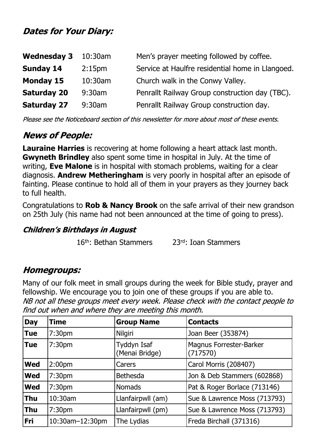# **Dates for Your Diary:**

| <b>Wednesday 3</b> | 10:30am            | Men's prayer meeting followed by coffee.         |
|--------------------|--------------------|--------------------------------------------------|
| <b>Sunday 14</b>   | 2:15 <sub>pm</sub> | Service at Haulfre residential home in Llangoed. |
| <b>Monday 15</b>   | 10:30am            | Church walk in the Conwy Valley.                 |
| <b>Saturday 20</b> | $9:30$ am          | Penrallt Railway Group construction day (TBC).   |
| <b>Saturday 27</b> | $9:30$ am          | Penrallt Railway Group construction day.         |

Please see the Noticeboard section of this newsletter for more about most of these events.

# **News of People:**

**Lauraine Harries** is recovering at home following a heart attack last month. **Gwyneth Brindley** also spent some time in hospital in July. At the time of writing, **Eve Malone** is in hospital with stomach problems, waiting for a clear diagnosis. **Andrew Metheringham** is very poorly in hospital after an episode of fainting. Please continue to hold all of them in your prayers as they journey back to full health.

Congratulations to **Rob & Nancy Brook** on the safe arrival of their new grandson on 25th July (his name had not been announced at the time of going to press).

#### **Children's Birthdays in August**

16th: Bethan Stammers 23rd: Ioan Stammers

## **Homegroups:**

Many of our folk meet in small groups during the week for Bible study, prayer and fellowship. We encourage you to join one of these groups if you are able to.NB not all these groups meet every week. Please check with the contact people to find out when and where they are meeting this month.

| <b>Day</b> | <b>Time</b>        | <b>Group Name</b>             | <b>Contacts</b>                     |
|------------|--------------------|-------------------------------|-------------------------------------|
| <b>Tue</b> | 7:30 <sub>pm</sub> | Nilgiri                       | Joan Beer (353874)                  |
| <b>Tue</b> | 7:30 <sub>pm</sub> | Tyddyn Isaf<br>(Menai Bridge) | Magnus Forrester-Barker<br>(717570) |
| <b>Wed</b> | 2:00 <sub>pm</sub> | Carers                        | Carol Morris (208407)               |
| <b>Wed</b> | 7:30 <sub>pm</sub> | <b>Bethesda</b>               | Jon & Deb Stammers (602868)         |
| <b>Wed</b> | 7:30 <sub>pm</sub> | <b>Nomads</b>                 | Pat & Roger Borlace (713146)        |
| <b>Thu</b> | 10:30am            | Llanfairpwll (am)             | Sue & Lawrence Moss (713793)        |
| Thu        | 7:30 <sub>pm</sub> | Llanfairpwll (pm)             | Sue & Lawrence Moss (713793)        |
| <b>Fri</b> | 10:30am-12:30pm    | The Lydias                    | Freda Birchall (371316)             |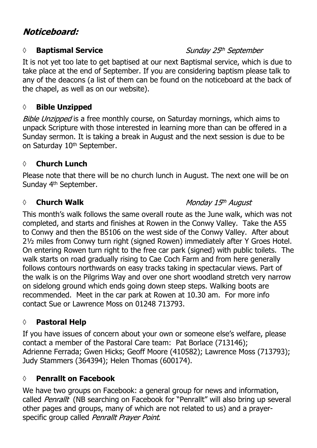# Noticeboard:

#### *◊* **Baptismal Service**

#### Sunday 25th September

It is not yet too late to get baptised at our next Baptismal service, which is due to take place at the end of September. If you are considering baptism please talk to any of the deacons (a list of them can be found on the noticeboard at the back of the chapel, as well as on our website).

#### *◊* **Bible Unzipped**

Bible Unzipped is a free monthly course, on Saturday mornings, which aims to unpack Scripture with those interested in learning more than can be offered in a Sunday sermon. It is taking a break in August and the next session is due to be on Saturday 10<sup>th</sup> September.

#### *◊* **Church Lunch**

Please note that there will be no church lunch in August. The next one will be on Sunday 4th September.

#### **◊ Church Walk**

#### Monday 15th August

This month's walk follows the same overall route as the June walk, which was not completed, and starts and finishes at Rowen in the Conwy Valley. Take the A55 to Conwy and then the B5106 on the west side of the Conwy Valley. After about 2½ miles from Conwy turn right (signed Rowen) immediately after Y Groes Hotel. On entering Rowen turn right to the free car park (signed) with public toilets. The walk starts on road gradually rising to Cae Coch Farm and from here generally follows contours northwards on easy tracks taking in spectacular views. Part of the walk is on the Pilgrims Way and over one short woodland stretch very narrow on sidelong ground which ends going down steep steps. Walking boots are recommended. Meet in the car park at Rowen at 10.30 am. For more info contact Sue or Lawrence Moss on 01248 713793.

#### **◊ Pastoral Help**

If you have issues of concern about your own or someone else's welfare, please contact a member of the Pastoral Care team: Pat Borlace (713146); Adrienne Ferrada; Gwen Hicks; Geoff Moore (410582); Lawrence Moss (713793); Judy Stammers (364394); Helen Thomas (600174).

#### **◊ Penrallt on Facebook**

We have two groups on Facebook: a general group for news and information, called Penrallt (NB searching on Facebook for "Penrallt" will also bring up several other pages and groups, many of which are not related to us) and a prayerspecific group called Penrallt Prayer Point.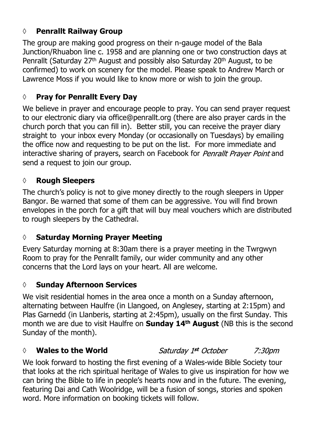#### **◊ Penrallt Railway Group**

The group are making good progress on their n-gauge model of the Bala Junction/Rhuabon line c. 1958 and are planning one or two construction days at Penrallt (Saturday 27th August and possibly also Saturday 20th August, to be confirmed) to work on scenery for the model. Please speak to Andrew March or Lawrence Moss if you would like to know more or wish to join the group.

#### **◊ Pray for Penrallt Every Day**

We believe in prayer and encourage people to pray. You can send prayer request to our electronic diary via office@penrallt.org (there are also prayer cards in the church porch that you can fill in). Better still, you can receive the prayer diary straight to your inbox every Monday (or occasionally on Tuesdays) by emailing the office now and requesting to be put on the list. For more immediate and interactive sharing of prayers, search on Facebook for Penrallt Prayer Point and send a request to join our group.

#### **◊ Rough Sleepers**

The church's policy is not to give money directly to the rough sleepers in Upper Bangor. Be warned that some of them can be aggressive. You will find brown envelopes in the porch for a gift that will buy meal vouchers which are distributed to rough sleepers by the Cathedral.

#### **◊ Saturday Morning Prayer Meeting**

Every Saturday morning at 8:30am there is a prayer meeting in the Twrgwyn Room to pray for the Penrallt family, our wider community and any other concerns that the Lord lays on your heart. All are welcome.

#### **◊ Sunday Afternoon Services**

We visit residential homes in the area once a month on a Sunday afternoon, alternating between Haulfre (in Llangoed, on Anglesey, starting at 2:15pm) and Plas Garnedd (in Llanberis, starting at 2:45pm), usually on the first Sunday. This month we are due to visit Haulfre on **Sunday 14th August** (NB this is the second Sunday of the month).

#### *◊* **Wales to the World**

Saturday 1st October  $7:30<sub>pn</sub>$ 

We look forward to hosting the first evening of a Wales-wide Bible Society tour that looks at the rich spiritual heritage of Wales to give us inspiration for how we can bring the Bible to life in people's hearts now and in the future. The evening, featuring Dai and Cath Woolridge, will be a fusion of songs, stories and spoken word. More information on booking tickets will follow.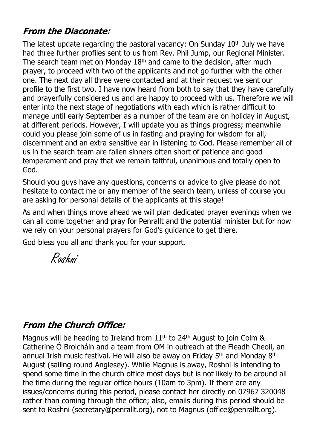# **From the Diaconate:**

The latest update regarding the pastoral vacancy: On Sunday 10<sup>th</sup> July we have had three further profiles sent to us from Rev. Phil Jump, our Regional Minister. The search team met on Monday 18<sup>th</sup> and came to the decision, after much prayer, to proceed with two of the applicants and not go further with the other one. The next day all three were contacted and at their request we sent our profile to the first two. I have now heard from both to say that they have carefully and prayerfully considered us and are happy to proceed with us. Therefore we will enter into the next stage of negotiations with each which is rather difficult to manage until early September as a number of the team are on holiday in August, at different periods. However, I will update you as things progress; meanwhile could you please join some of us in fasting and praying for wisdom for all, discernment and an extra sensitive ear in listening to God. Please remember all of us in the search team are fallen sinners often short of patience and good temperament and pray that we remain faithful, unanimous and totally open to God.

Should you guys have any questions, concerns or advice to give please do not hesitate to contact me or any member of the search team, unless of course you are asking for personal details of the applicants at this stage!

As and when things move ahead we will plan dedicated prayer evenings when we can all come together and pray for Penrallt and the potential minister but for now we rely on your personal prayers for God's guidance to get there.

God bless you all and thank you for your support.

Roshni

## **From the Church Office:**

Magnus will be heading to Ireland from 11<sup>th</sup> to 24<sup>th</sup> August to join Colm & Catherine Ó Brolcháin and a team from OM in outreach at the Fleadh Cheoil, an annual Irish music festival. He will also be away on Friday 5<sup>th</sup> and Monday 8<sup>th</sup> August (sailing round Anglesey). While Magnus is away, Roshni is intending to spend some time in the church office most days but is not likely to be around all the time during the regular office hours (10am to 3pm). If there are any issues/concerns during this period, please contact her directly on 07967 320048 rather than coming through the office; also, emails during this period should be sent to Roshni (secretary@penrallt.org), not to Magnus (office@penrallt.org).